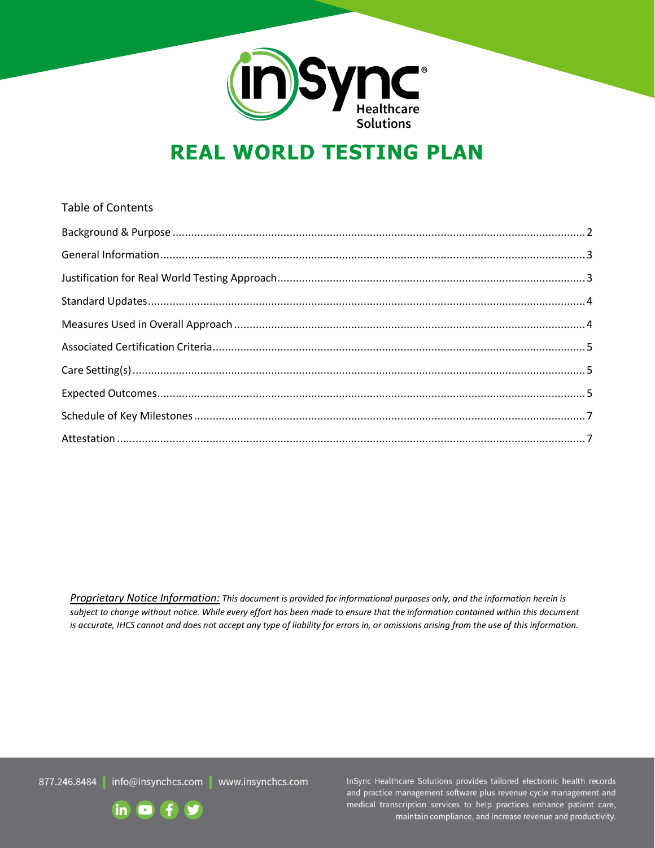

# **REAL WORLD TESTING PLAN**

# Table of Contents Background & Purpose [......................................................................................................................................2](#page-1-0) [General Information..........................................................................................................................................3](#page-2-0) [Justification for Real World Testing Approach....................................................................................................3](#page-2-1) [Standard Updates..............................................................................................................................................4](#page-3-0) Measures Used in Overall Approach [..................................................................................................................4](#page-3-1) Associated Certification [Criteria.........................................................................................................................5](#page-4-0) Care [Setting\(s\)...................................................................................................................................................5](#page-4-1) Expected [Outcomes...........................................................................................................................................5](#page-4-2) [Schedule of Key Milestones...............................................................................................................................7](#page-6-0) Attestation [........................................................................................................................................................7](#page-6-1)

*Proprietary Notice Information: This document is provided for informational purposes only, and the information herein is subject to change without notice. While every effort has been made to ensure that the information contained within this document is accurate, IHCS cannot and does not accept any type of liability for errors in, or omissions arising from the use of this information.*

877.246.8484 info@insynchcs.com | www.insynchcs.com

InSync Healthcare Solutions provides tailored electronic health records and practice management software plus revenue cycle management and medical transcription services to help practices enhance patient care, maintain compliance, and increase revenue and productivity.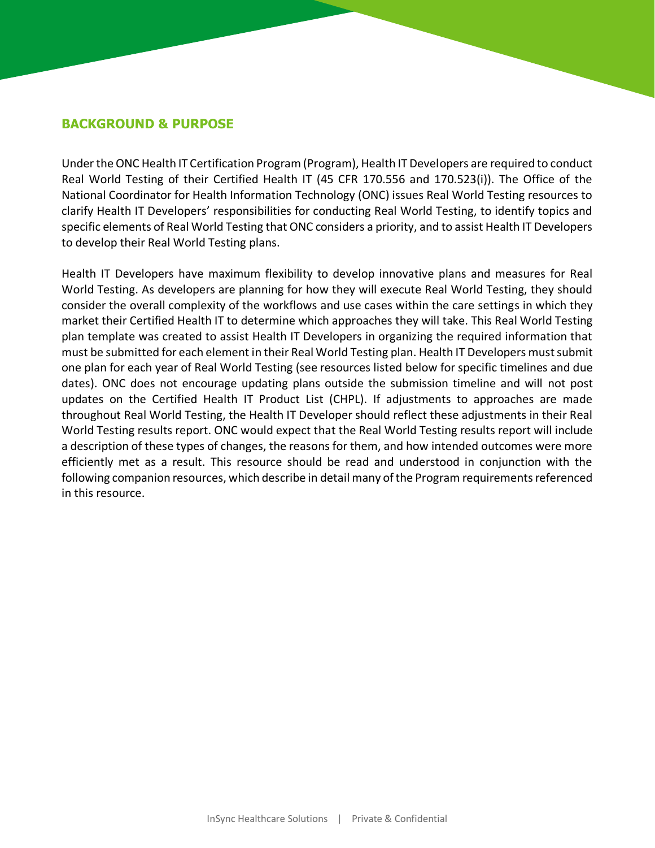#### <span id="page-1-0"></span>**BACKGROUND & PURPOSE**

Under the ONC Health IT Certification Program (Program), Health IT Developers are required to conduct Real World Testing of their Certified Health IT (45 CFR 170.556 and 170.523(i)). The Office of the National Coordinator for Health Information Technology (ONC) issues Real World Testing resources to clarify Health IT Developers' responsibilities for conducting Real World Testing, to identify topics and specific elements of Real World Testing that ONC considers a priority, and to assist Health IT Developers to develop their Real World Testing plans.

Health IT Developers have maximum flexibility to develop innovative plans and measures for Real World Testing. As developers are planning for how they will execute Real World Testing, they should consider the overall complexity of the workflows and use cases within the care settings in which they market their Certified Health IT to determine which approaches they will take. This Real World Testing plan template was created to assist Health IT Developers in organizing the required information that must be submitted for each element in their Real World Testing plan. Health IT Developers must submit one plan for each year of Real World Testing (see resources listed below for specific timelines and due dates). ONC does not encourage updating plans outside the submission timeline and will not post updates on the Certified Health IT Product List (CHPL). If adjustments to approaches are made throughout Real World Testing, the Health IT Developer should reflect these adjustments in their Real World Testing results report. ONC would expect that the Real World Testing results report will include a description of these types of changes, the reasons for them, and how intended outcomes were more efficiently met as a result. This resource should be read and understood in conjunction with the following companion resources, which describe in detail many of the Program requirements referenced in this resource.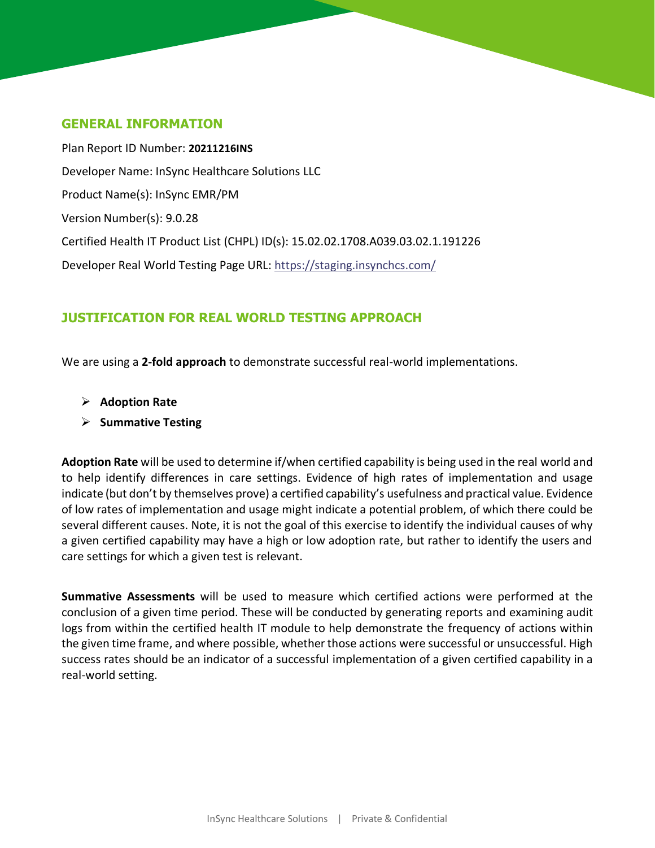#### <span id="page-2-0"></span>**GENERAL INFORMATION**

Plan Report ID Number: **20211216INS** Developer Name: InSync Healthcare Solutions LLC Product Name(s): InSync EMR/PM Version Number(s): 9.0.28 Certified Health IT Product List (CHPL) ID(s): 15.02.02.1708.A039.03.02.1.191226 Developer Real World Testing Page URL:<https://staging.insynchcs.com/>

## <span id="page-2-1"></span>**JUSTIFICATION FOR REAL WORLD TESTING APPROACH**

We are using a **2-fold approach** to demonstrate successful real-world implementations.

- ➢ **Adoption Rate**
- ➢ **Summative Testing**

**Adoption Rate** will be used to determine if/when certified capability is being used in the real world and to help identify differences in care settings. Evidence of high rates of implementation and usage indicate (but don't by themselves prove) a certified capability's usefulness and practical value. Evidence of low rates of implementation and usage might indicate a potential problem, of which there could be several different causes. Note, it is not the goal of this exercise to identify the individual causes of why a given certified capability may have a high or low adoption rate, but rather to identify the users and care settings for which a given test is relevant.

**Summative Assessments** will be used to measure which certified actions were performed at the conclusion of a given time period. These will be conducted by generating reports and examining audit logs from within the certified health IT module to help demonstrate the frequency of actions within the given time frame, and where possible, whether those actions were successful or unsuccessful. High success rates should be an indicator of a successful implementation of a given certified capability in a real-world setting.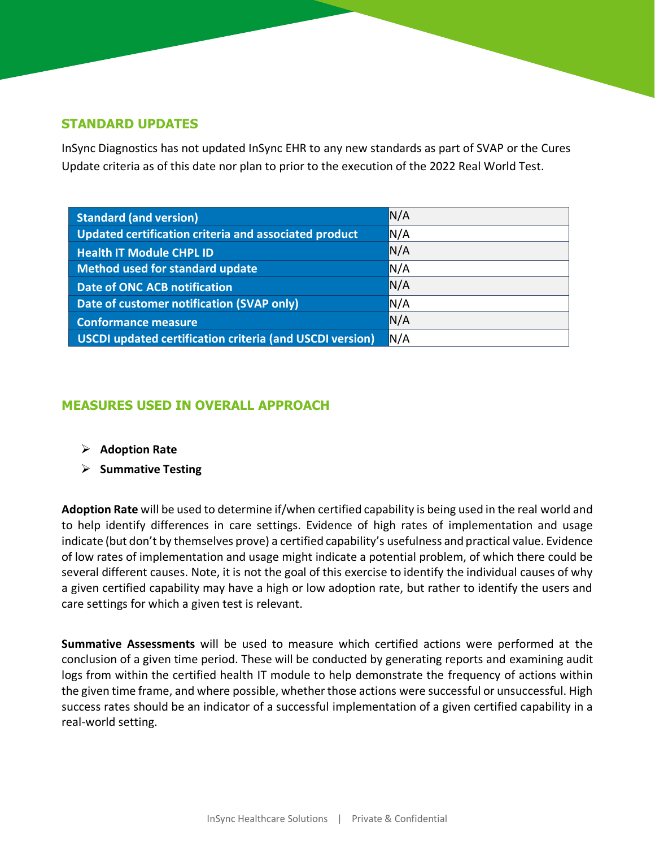#### <span id="page-3-0"></span>**STANDARD UPDATES**

InSync Diagnostics has not updated InSync EHR to any new standards as part of SVAP or the Cures Update criteria as of this date nor plan to prior to the execution of the 2022 Real World Test.

| <b>Standard (and version)</b>                                   | N/A |
|-----------------------------------------------------------------|-----|
| Updated certification criteria and associated product           | N/A |
| <b>Health IT Module CHPL ID</b>                                 | N/A |
| <b>Method used for standard update</b>                          | N/A |
| <b>Date of ONC ACB notification</b>                             | N/A |
| Date of customer notification (SVAP only)                       | N/A |
| <b>Conformance measure</b>                                      | N/A |
| <b>USCDI updated certification criteria (and USCDI version)</b> | N/A |

## <span id="page-3-1"></span>**MEASURES USED IN OVERALL APPROACH**

- ➢ **Adoption Rate**
- ➢ **Summative Testing**

**Adoption Rate** will be used to determine if/when certified capability is being used in the real world and to help identify differences in care settings. Evidence of high rates of implementation and usage indicate (but don't by themselves prove) a certified capability's usefulness and practical value. Evidence of low rates of implementation and usage might indicate a potential problem, of which there could be several different causes. Note, it is not the goal of this exercise to identify the individual causes of why a given certified capability may have a high or low adoption rate, but rather to identify the users and care settings for which a given test is relevant.

**Summative Assessments** will be used to measure which certified actions were performed at the conclusion of a given time period. These will be conducted by generating reports and examining audit logs from within the certified health IT module to help demonstrate the frequency of actions within the given time frame, and where possible, whether those actions were successful or unsuccessful. High success rates should be an indicator of a successful implementation of a given certified capability in a real-world setting.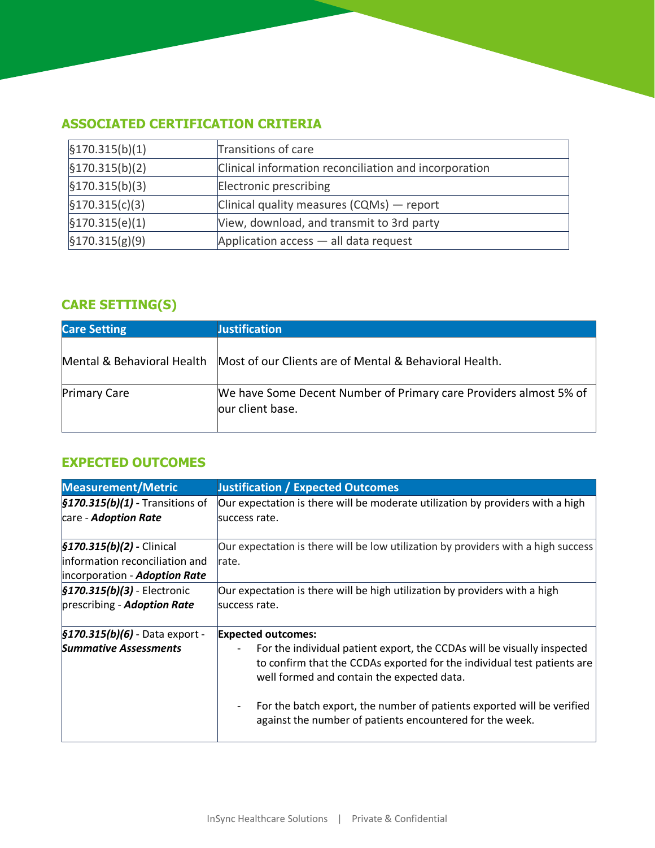# <span id="page-4-0"></span>**ASSOCIATED CERTIFICATION CRITERIA**

| $\frac{1}{2}$ 170.315(b)(1)    | Transitions of care                                   |  |
|--------------------------------|-------------------------------------------------------|--|
| $\frac{1}{2}$ [\$170.315(b)(2) | Clinical information reconciliation and incorporation |  |
| $\frac{1}{2}$ [\$170.315(b)(3) | Electronic prescribing                                |  |
| $\frac{5170.315(c)(3)}{2}$     | Clinical quality measures $(CQMs)$ - report           |  |
| §170.315(e)(1)                 | View, download, and transmit to 3rd party             |  |
| $\frac{1}{2}$ 170.315(g)(9)    | Application $access$ — all data request               |  |

# <span id="page-4-1"></span>**CARE SETTING(S)**

| <b>Care Setting</b> | <b>Justification</b>                                                                   |
|---------------------|----------------------------------------------------------------------------------------|
|                     | Mental & Behavioral Health Most of our Clients are of Mental & Behavioral Health.      |
| <b>Primary Care</b> | We have Some Decent Number of Primary care Providers almost 5% of<br>lour client base. |

# <span id="page-4-2"></span>**EXPECTED OUTCOMES**

| <b>Measurement/Metric</b>                    | <b>Justification / Expected Outcomes</b>                                                                                                                                                         |
|----------------------------------------------|--------------------------------------------------------------------------------------------------------------------------------------------------------------------------------------------------|
| $\frac{5170.315(b)}{1}$ - Transitions of     | Our expectation is there will be moderate utilization by providers with a high                                                                                                                   |
| care - Adoption Rate                         | success rate.                                                                                                                                                                                    |
|                                              |                                                                                                                                                                                                  |
| $$170.315(b)(2)$ - Clinical                  | Our expectation is there will be low utilization by providers with a high success                                                                                                                |
| information reconciliation and               | Irate.                                                                                                                                                                                           |
| incorporation - Adoption Rate                |                                                                                                                                                                                                  |
| $$170.315(b)(3)$ - Electronic                | Our expectation is there will be high utilization by providers with a high                                                                                                                       |
| prescribing - Adoption Rate                  | success rate.                                                                                                                                                                                    |
| $\frac{1}{2}$ 5170.315(b)(6) - Data export - | <b>Expected outcomes:</b>                                                                                                                                                                        |
| <b>Summative Assessments</b>                 | For the individual patient export, the CCDAs will be visually inspected<br>to confirm that the CCDAs exported for the individual test patients are<br>well formed and contain the expected data. |
|                                              | For the batch export, the number of patients exported will be verified<br>against the number of patients encountered for the week.                                                               |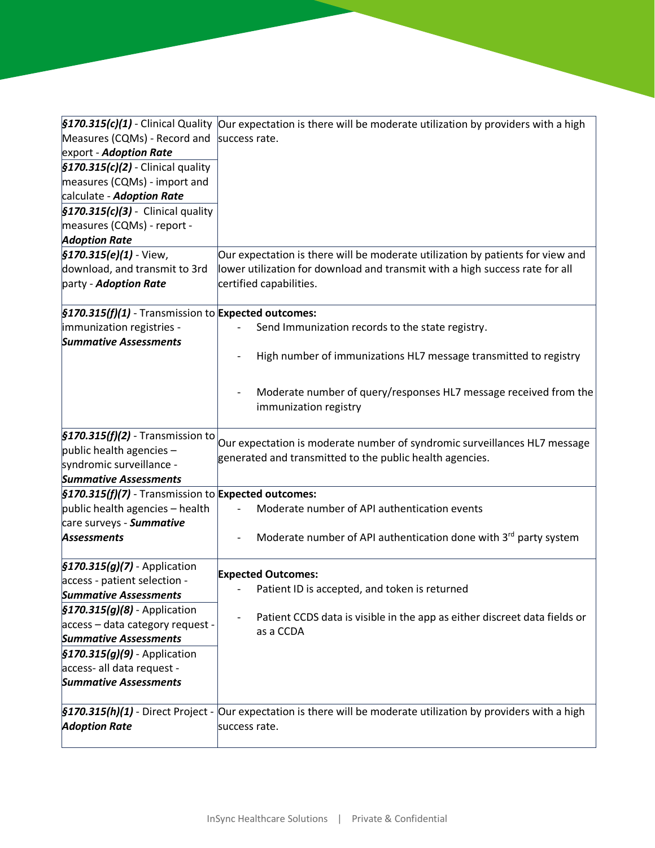| Measures (CQMs) - Record and<br>export - Adoption Rate                                                                                                          | §170.315(c)(1) - Clinical Quality Our expectation is there will be moderate utilization by providers with a high<br>success rate.     |  |
|-----------------------------------------------------------------------------------------------------------------------------------------------------------------|---------------------------------------------------------------------------------------------------------------------------------------|--|
| $\frac{1}{2}$ 5170.315(c)(2) - Clinical quality<br>measures (CQMs) - import and<br>calculate - Adoption Rate<br>$\frac{1}{2}$ 5170.315(c)(3) - Clinical quality |                                                                                                                                       |  |
| measures (CQMs) - report -<br><b>Adoption Rate</b>                                                                                                              |                                                                                                                                       |  |
| $$170.315(e)(1)$ - View,                                                                                                                                        | Our expectation is there will be moderate utilization by patients for view and                                                        |  |
| download, and transmit to 3rd<br>party - Adoption Rate                                                                                                          | lower utilization for download and transmit with a high success rate for all<br>certified capabilities.                               |  |
| §170.315(f)(1) - Transmission to Expected outcomes:                                                                                                             |                                                                                                                                       |  |
| immunization registries -<br><b>Summative Assessments</b>                                                                                                       | Send Immunization records to the state registry.                                                                                      |  |
|                                                                                                                                                                 | High number of immunizations HL7 message transmitted to registry                                                                      |  |
|                                                                                                                                                                 | Moderate number of query/responses HL7 message received from the<br>immunization registry                                             |  |
| $$170.315(f)(2)$ - Transmission to<br>public health agencies $-$<br>syndromic surveillance -<br><b>Summative Assessments</b>                                    | Our expectation is moderate number of syndromic surveillances HL7 message<br>generated and transmitted to the public health agencies. |  |
| $$170.315(f)(7)$ - Transmission to Expected outcomes:<br>public health agencies - health<br>care surveys - Summative                                            | Moderate number of API authentication events                                                                                          |  |
| Assessments                                                                                                                                                     | Moderate number of API authentication done with 3rd party system                                                                      |  |
| $$170.315(g)(7)$ - Application<br>access - patient selection -<br><b>Summative Assessments</b>                                                                  | <b>Expected Outcomes:</b><br>Patient ID is accepted, and token is returned                                                            |  |
| $$170.315(g)(8)$ - Application<br>access – data category request -<br><b>Summative Assessments</b>                                                              | Patient CCDS data is visible in the app as either discreet data fields or<br>as a CCDA                                                |  |
| $$170.315(g)(9)$ - Application<br>access- all data request -<br><b>Summative Assessments</b>                                                                    |                                                                                                                                       |  |
| <b>Adoption Rate</b>                                                                                                                                            | §170.315(h)(1) - Direct Project - Our expectation is there will be moderate utilization by providers with a high<br>success rate.     |  |